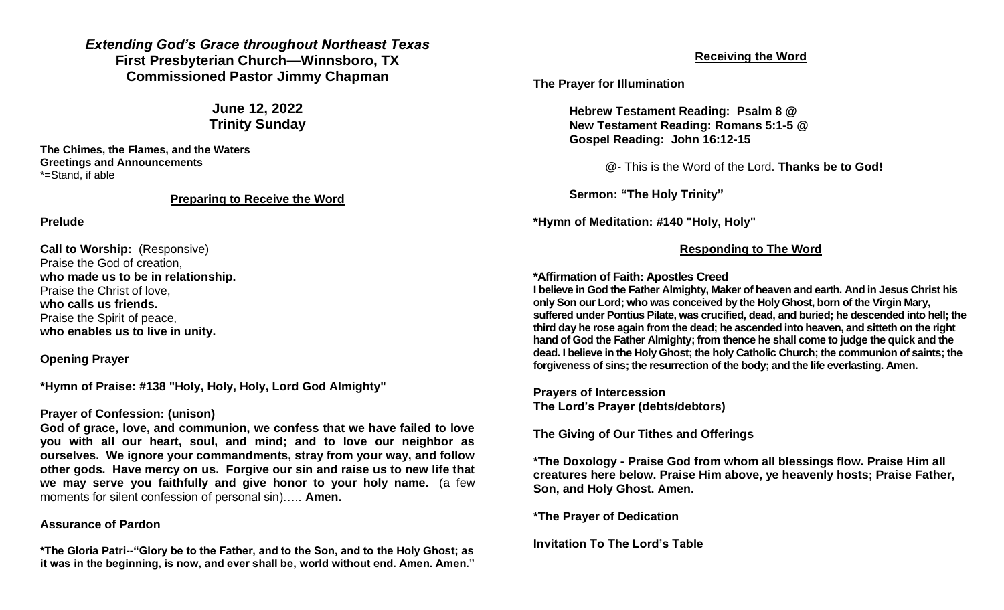*Extending God's Grace throughout Northeast Texas* **First Presbyterian Church—Winnsboro, TX Commissioned Pastor Jimmy Chapman**

> **June 12, 2022 Trinity Sunday**

**The Chimes, the Flames, and the Waters Greetings and Announcements** \*=Stand, if able

### **Preparing to Receive the Word**

#### **Prelude**

**Call to Worship:** (Responsive) Praise the God of creation, **who made us to be in relationship.** Praise the Christ of love, **who calls us friends.** Praise the Spirit of peace, **who enables us to live in unity.**

## **Opening Prayer**

**\*Hymn of Praise: #138 "Holy, Holy, Holy, Lord God Almighty"**

### **Prayer of Confession: (unison)**

**God of grace, love, and communion, we confess that we have failed to love you with all our heart, soul, and mind; and to love our neighbor as ourselves. We ignore your commandments, stray from your way, and follow other gods. Have mercy on us. Forgive our sin and raise us to new life that we may serve you faithfully and give honor to your holy name.** (a few moments for silent confession of personal sin)….. **Amen.**

### **Assurance of Pardon**

**\*The Gloria Patri--"Glory be to the Father, and to the Son, and to the Holy Ghost; as it was in the beginning, is now, and ever shall be, world without end. Amen. Amen."**

# **Receiving the Word**

**The Prayer for Illumination**

**Hebrew Testament Reading: Psalm 8 @ New Testament Reading: Romans 5:1-5 @ Gospel Reading: John 16:12-15**

@- This is the Word of the Lord. **Thanks be to God!**

**Sermon: "The Holy Trinity"**

**\*Hymn of Meditation: #140 "Holy, Holy"**

# **Responding to The Word**

## **\*Affirmation of Faith: Apostles Creed**

**I believe i[n God the Father](http://christianity.about.com/od/oldtestamentpeople/a/God-The-Father.htm) Almighty, Maker o[f heaven and earth.](http://catholicism.about.com/od/baltimorecatechism/f/Question_33_BC.htm) And i[n Jesus Christ his](http://christianity.about.com/od/glossary/fl/Son-of-God.htm)  [only Son](http://christianity.about.com/od/glossary/fl/Son-of-God.htm) our Lord; who was conceived by the Holy Ghost, born of the Virgin Mary, suffered under Pontius Pilate, was crucified, dead, and buried; he descended into hell; the third day he rose again from the dead; he ascended into heaven, and sitteth on the right hand of God the Father Almighty; from thence he shall come to judge the quick and the dead. I believe in the Holy Ghost; the holy Catholic Church; the communion of saints; the forgiveness of sins; the resurrection of the body; and the life everlasting. Amen.**

**Prayers of Intercession The Lord's Prayer (debts/debtors)**

**The Giving of Our Tithes and Offerings**

**\*The Doxology - Praise God from whom all blessings flow. Praise Him all creatures here below. Praise Him above, ye heavenly hosts; Praise Father, Son, and Holy Ghost. Amen.**

**\*The Prayer of Dedication**

**Invitation To The Lord's Table**